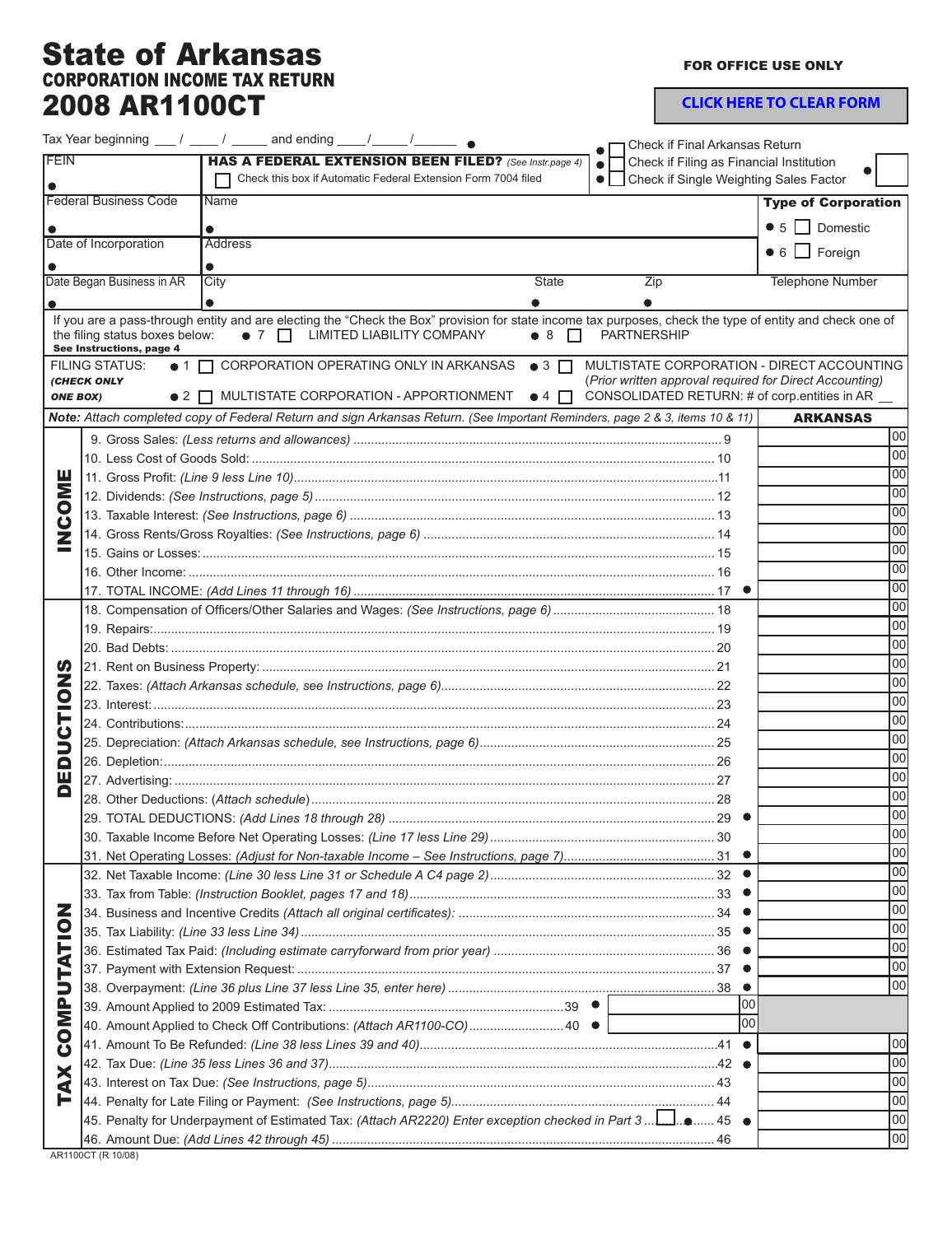## State of Arkansas CORPORATION INCOME TAX RETURN 2008 AR1100CT

FOR OFFICE USE ONLY

**CLICK HERE TO CLEAR FORM**

|                                                                |                                                            | Tax Year beginning $\frac{1}{\sqrt{2}}$ / $\frac{1}{\sqrt{2}}$ and ending $\frac{1}{\sqrt{2}}$ / $\frac{1}{\sqrt{2}}$ $\bullet$                                                             |                                                       | Check if Final Arkansas Return                                                                        |                            |
|----------------------------------------------------------------|------------------------------------------------------------|---------------------------------------------------------------------------------------------------------------------------------------------------------------------------------------------|-------------------------------------------------------|-------------------------------------------------------------------------------------------------------|----------------------------|
| FEIN<br>HAS A FEDERAL EXTENSION BEEN FILED? (See Instr.page 4) |                                                            |                                                                                                                                                                                             | Check if Filing as Financial Institution<br>$\bullet$ |                                                                                                       |                            |
|                                                                |                                                            | Check this box if Automatic Federal Extension Form 7004 filed                                                                                                                               |                                                       | • Check if Single Weighting Sales Factor                                                              |                            |
| <b>Federal Business Code</b><br>Name                           |                                                            |                                                                                                                                                                                             |                                                       |                                                                                                       | <b>Type of Corporation</b> |
|                                                                |                                                            |                                                                                                                                                                                             |                                                       | $\bullet$ 5 $\Box$ Domestic                                                                           |                            |
| Date of Incorporation<br><b>Address</b>                        |                                                            |                                                                                                                                                                                             |                                                       |                                                                                                       |                            |
|                                                                |                                                            |                                                                                                                                                                                             |                                                       |                                                                                                       | $\bullet$ 6 $\Box$ Foreign |
|                                                                | Date Began Business in AR                                  | City                                                                                                                                                                                        | <b>State</b>                                          | Zip                                                                                                   | <b>Telephone Number</b>    |
|                                                                |                                                            | $\bullet$                                                                                                                                                                                   |                                                       |                                                                                                       |                            |
|                                                                | the filing status boxes below:<br>See Instructions, page 4 | If you are a pass-through entity and are electing the "Check the Box" provision for state income tax purposes, check the type of entity and check one of<br>• 7   LIMITED LIABILITY COMPANY | $\bullet$ 8<br>$\mathbf{1}$                           | <b>PARTNERSHIP</b>                                                                                    |                            |
|                                                                | <b>FILING STATUS:</b><br><b>(CHECK ONLY</b>                | ● 1 □ CORPORATION OPERATING ONLY IN ARKANSAS ● 3 □                                                                                                                                          |                                                       | MULTISTATE CORPORATION - DIRECT ACCOUNTING<br>(Prior written approval required for Direct Accounting) |                            |
| <b>ONE BOX)</b>                                                |                                                            | $\bullet$ 2 $\Box$ MULTISTATE CORPORATION - APPORTIONMENT $\bullet$ 4 $\Box$                                                                                                                |                                                       | CONSOLIDATED RETURN: # of corp.entities in AR _                                                       |                            |
|                                                                |                                                            | Note: Attach completed copy of Federal Return and sign Arkansas Return. (See Important Reminders, page 2 & 3, items 10 & 11)                                                                |                                                       |                                                                                                       | <b>ARKANSAS</b>            |
|                                                                |                                                            |                                                                                                                                                                                             |                                                       |                                                                                                       | 100                        |
|                                                                |                                                            |                                                                                                                                                                                             |                                                       |                                                                                                       | 100                        |
| Σ<br>8<br>Z                                                    |                                                            |                                                                                                                                                                                             |                                                       |                                                                                                       | 100                        |
|                                                                |                                                            |                                                                                                                                                                                             |                                                       |                                                                                                       | 100                        |
|                                                                |                                                            |                                                                                                                                                                                             |                                                       |                                                                                                       | 100                        |
|                                                                |                                                            |                                                                                                                                                                                             |                                                       |                                                                                                       | 100                        |
|                                                                |                                                            |                                                                                                                                                                                             |                                                       |                                                                                                       | 100                        |
|                                                                |                                                            |                                                                                                                                                                                             |                                                       |                                                                                                       | 100                        |
|                                                                |                                                            |                                                                                                                                                                                             |                                                       |                                                                                                       | 100                        |
|                                                                |                                                            |                                                                                                                                                                                             |                                                       |                                                                                                       | 100                        |
|                                                                |                                                            |                                                                                                                                                                                             |                                                       |                                                                                                       | 100                        |
| U.<br>z<br>$\overline{\mathbf{C}}$                             |                                                            |                                                                                                                                                                                             |                                                       |                                                                                                       | 100                        |
|                                                                |                                                            |                                                                                                                                                                                             |                                                       |                                                                                                       | 100                        |
|                                                                |                                                            |                                                                                                                                                                                             |                                                       |                                                                                                       | 100                        |
|                                                                |                                                            |                                                                                                                                                                                             |                                                       |                                                                                                       | 100                        |
|                                                                |                                                            |                                                                                                                                                                                             |                                                       |                                                                                                       | 100                        |
| ∍                                                              |                                                            |                                                                                                                                                                                             |                                                       |                                                                                                       | 100                        |
| Q                                                              |                                                            |                                                                                                                                                                                             |                                                       |                                                                                                       | 100<br>100                 |
| ш<br>o                                                         |                                                            |                                                                                                                                                                                             |                                                       |                                                                                                       | 100                        |
|                                                                |                                                            |                                                                                                                                                                                             |                                                       |                                                                                                       | 100                        |
|                                                                |                                                            |                                                                                                                                                                                             |                                                       |                                                                                                       | 00                         |
|                                                                |                                                            |                                                                                                                                                                                             |                                                       |                                                                                                       | loo                        |
|                                                                |                                                            |                                                                                                                                                                                             |                                                       |                                                                                                       | 100                        |
|                                                                |                                                            |                                                                                                                                                                                             |                                                       |                                                                                                       | 100                        |
|                                                                |                                                            |                                                                                                                                                                                             |                                                       |                                                                                                       | 100                        |
| z<br>$\overline{\mathbf{C}}$                                   |                                                            |                                                                                                                                                                                             |                                                       |                                                                                                       | 100                        |
|                                                                |                                                            |                                                                                                                                                                                             |                                                       |                                                                                                       | 100                        |
| TAT                                                            |                                                            |                                                                                                                                                                                             |                                                       |                                                                                                       | 100                        |
|                                                                |                                                            |                                                                                                                                                                                             |                                                       |                                                                                                       | 100                        |
| ∍<br>ē<br>N<br>Ō<br>Ŭ                                          |                                                            |                                                                                                                                                                                             |                                                       | 100                                                                                                   |                            |
|                                                                |                                                            | 40. Amount Applied to Check Off Contributions: (Attach AR1100-CO)40 ● [                                                                                                                     |                                                       | lool                                                                                                  |                            |
|                                                                |                                                            |                                                                                                                                                                                             |                                                       |                                                                                                       | loo                        |
|                                                                |                                                            |                                                                                                                                                                                             |                                                       |                                                                                                       | loo                        |
| XA                                                             |                                                            |                                                                                                                                                                                             |                                                       |                                                                                                       | loo                        |
| F                                                              |                                                            |                                                                                                                                                                                             |                                                       |                                                                                                       | 100                        |
|                                                                |                                                            | 45 - 45. Penalty for Underpayment of Estimated Tax: (Attach AR2220) Enter exception checked in Part 3 1. 0 45                                                                               |                                                       |                                                                                                       | loo                        |
|                                                                |                                                            |                                                                                                                                                                                             |                                                       |                                                                                                       | 100                        |
|                                                                |                                                            |                                                                                                                                                                                             |                                                       |                                                                                                       |                            |

AR1100CT (R 10/08)